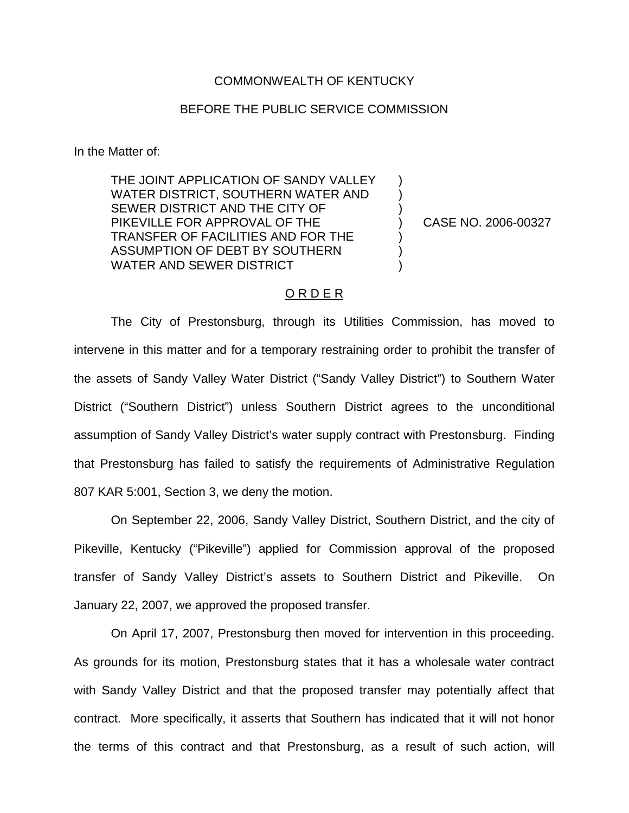## COMMONWEALTH OF KENTUCKY

## BEFORE THE PUBLIC SERVICE COMMISSION

In the Matter of:

THE JOINT APPLICATION OF SANDY VALLEY WATER DISTRICT, SOUTHERN WATER AND SEWER DISTRICT AND THE CITY OF PIKEVILLE FOR APPROVAL OF THE TRANSFER OF FACILITIES AND FOR THE ASSUMPTION OF DEBT BY SOUTHERN WATER AND SEWER DISTRICT

) CASE NO. 2006-00327

) ) )

) ) )

## O R D E R

The City of Prestonsburg, through its Utilities Commission, has moved to intervene in this matter and for a temporary restraining order to prohibit the transfer of the assets of Sandy Valley Water District ("Sandy Valley District") to Southern Water District ("Southern District") unless Southern District agrees to the unconditional assumption of Sandy Valley District's water supply contract with Prestonsburg. Finding that Prestonsburg has failed to satisfy the requirements of Administrative Regulation 807 KAR 5:001, Section 3, we deny the motion.

On September 22, 2006, Sandy Valley District, Southern District, and the city of Pikeville, Kentucky ("Pikeville") applied for Commission approval of the proposed transfer of Sandy Valley District's assets to Southern District and Pikeville. On January 22, 2007, we approved the proposed transfer.

On April 17, 2007, Prestonsburg then moved for intervention in this proceeding. As grounds for its motion, Prestonsburg states that it has a wholesale water contract with Sandy Valley District and that the proposed transfer may potentially affect that contract. More specifically, it asserts that Southern has indicated that it will not honor the terms of this contract and that Prestonsburg, as a result of such action, will